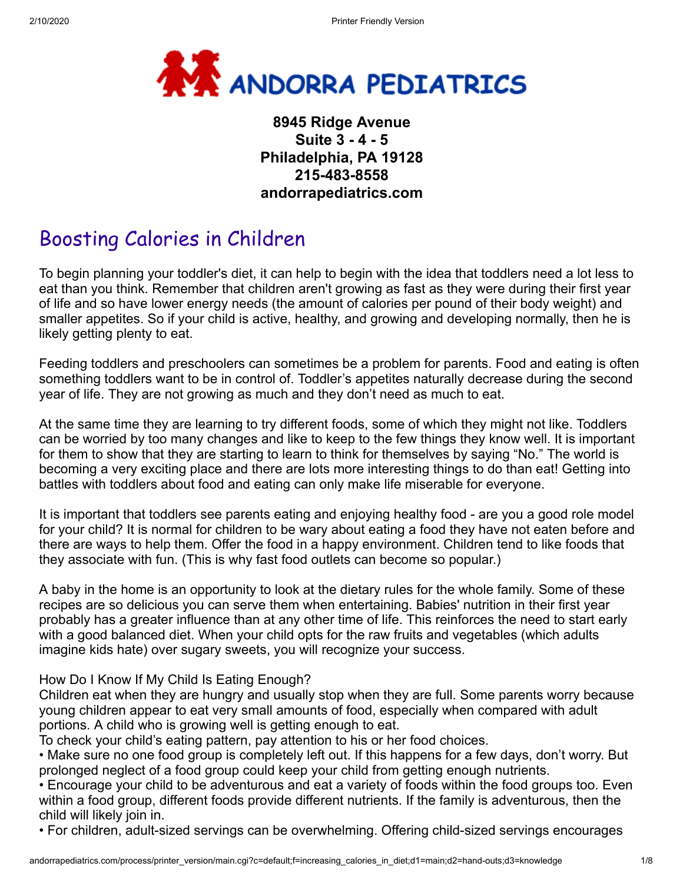

## **8945 Ridge Avenue Suite 3 - 4 - 5 Philadelphia, PA 19128 215-483-8558 andorrapediatrics.com**

# Boosting Calories in Children

To begin planning your toddler's diet, it can help to begin with the idea that toddlers need a lot less to eat than you think. Remember that children aren't growing as fast as they were during their first year of life and so have lower energy needs (the amount of calories per pound of their body weight) and smaller appetites. So if your child is active, healthy, and growing and developing normally, then he is likely getting plenty to eat.

Feeding toddlers and preschoolers can sometimes be a problem for parents. Food and eating is often something toddlers want to be in control of. Toddler's appetites naturally decrease during the second year of life. They are not growing as much and they don't need as much to eat.

At the same time they are learning to try different foods, some of which they might not like. Toddlers can be worried by too many changes and like to keep to the few things they know well. It is important for them to show that they are starting to learn to think for themselves by saying "No." The world is becoming a very exciting place and there are lots more interesting things to do than eat! Getting into battles with toddlers about food and eating can only make life miserable for everyone.

It is important that toddlers see parents eating and enjoying healthy food - are you a good role model for your child? It is normal for children to be wary about eating a food they have not eaten before and there are ways to help them. Offer the food in a happy environment. Children tend to like foods that they associate with fun. (This is why fast food outlets can become so popular.)

A baby in the home is an opportunity to look at the dietary rules for the whole family. Some of these recipes are so delicious you can serve them when entertaining. Babies' nutrition in their first year probably has a greater influence than at any other time of life. This reinforces the need to start early with a good balanced diet. When your child opts for the raw fruits and vegetables (which adults imagine kids hate) over sugary sweets, you will recognize your success.

#### How Do I Know If My Child Is Eating Enough?

Children eat when they are hungry and usually stop when they are full. Some parents worry because young children appear to eat very small amounts of food, especially when compared with adult portions. A child who is growing well is getting enough to eat.

To check your child's eating pattern, pay attention to his or her food choices.

• Make sure no one food group is completely left out. If this happens for a few days, don't worry. But prolonged neglect of a food group could keep your child from getting enough nutrients.

• Encourage your child to be adventurous and eat a variety of foods within the food groups too. Even within a food group, different foods provide different nutrients. If the family is adventurous, then the child will likely join in.

• For children, adult-sized servings can be overwhelming. Offering child-sized servings encourages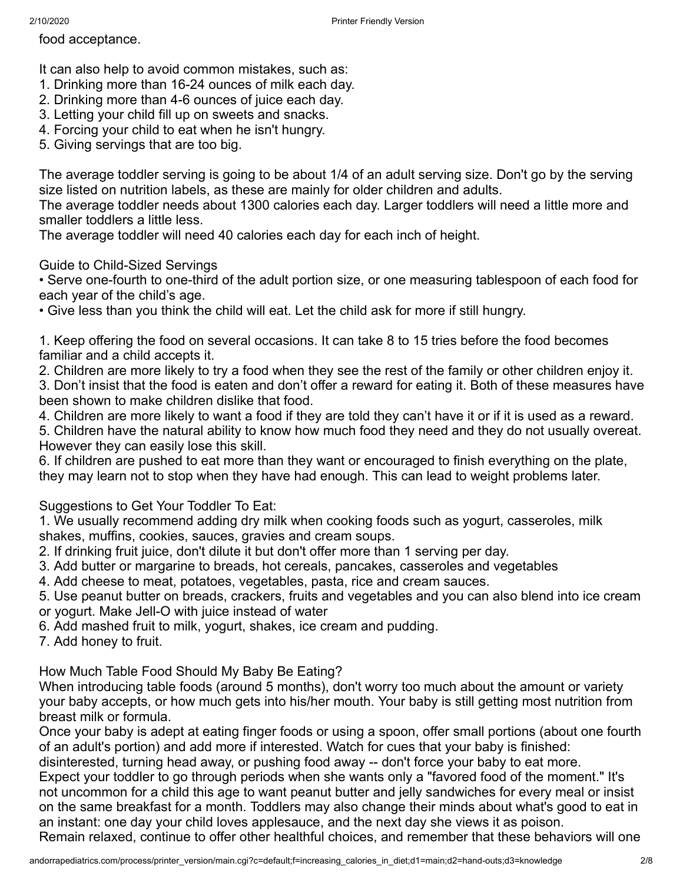food acceptance.

- It can also help to avoid common mistakes, such as:
- 1. Drinking more than 16-24 ounces of milk each day.
- 2. Drinking more than 4-6 ounces of juice each day.
- 3. Letting your child fill up on sweets and snacks.
- 4. Forcing your child to eat when he isn't hungry.
- 5. Giving servings that are too big.

The average toddler serving is going to be about 1/4 of an adult serving size. Don't go by the serving size listed on nutrition labels, as these are mainly for older children and adults.

The average toddler needs about 1300 calories each day. Larger toddlers will need a little more and smaller toddlers a little less.

The average toddler will need 40 calories each day for each inch of height.

#### Guide to Child-Sized Servings

• Serve one-fourth to one-third of the adult portion size, or one measuring tablespoon of each food for each year of the child's age.

• Give less than you think the child will eat. Let the child ask for more if still hungry.

1. Keep offering the food on several occasions. It can take 8 to 15 tries before the food becomes familiar and a child accepts it.

- 2. Children are more likely to try a food when they see the rest of the family or other children enjoy it. 3. Don't insist that the food is eaten and don't offer a reward for eating it. Both of these measures have been shown to make children dislike that food.
- 4. Children are more likely to want a food if they are told they can't have it or if it is used as a reward.

5. Children have the natural ability to know how much food they need and they do not usually overeat. However they can easily lose this skill.

6. If children are pushed to eat more than they want or encouraged to finish everything on the plate, they may learn not to stop when they have had enough. This can lead to weight problems later.

#### Suggestions to Get Your Toddler To Eat:

1. We usually recommend adding dry milk when cooking foods such as yogurt, casseroles, milk shakes, muffins, cookies, sauces, gravies and cream soups.

2. If drinking fruit juice, don't dilute it but don't offer more than 1 serving per day.

- 3. Add butter or margarine to breads, hot cereals, pancakes, casseroles and vegetables
- 4. Add cheese to meat, potatoes, vegetables, pasta, rice and cream sauces.
- 5. Use peanut butter on breads, crackers, fruits and vegetables and you can also blend into ice cream or yogurt. Make Jell-O with juice instead of water
- 6. Add mashed fruit to milk, yogurt, shakes, ice cream and pudding.

7. Add honey to fruit.

How Much Table Food Should My Baby Be Eating?

When introducing table foods (around 5 months), don't worry too much about the amount or variety your baby accepts, or how much gets into his/her mouth. Your baby is still getting most nutrition from breast milk or formula.

Once your baby is adept at eating finger foods or using a spoon, offer small portions (about one fourth of an adult's portion) and add more if interested. Watch for cues that your baby is finished:

disinterested, turning head away, or pushing food away -- don't force your baby to eat more.

Expect your toddler to go through periods when she wants only a "favored food of the moment." It's not uncommon for a child this age to want peanut butter and jelly sandwiches for every meal or insist on the same breakfast for a month. Toddlers may also change their minds about what's good to eat in an instant: one day your child loves applesauce, and the next day she views it as poison.

Remain relaxed, continue to offer other healthful choices, and remember that these behaviors will one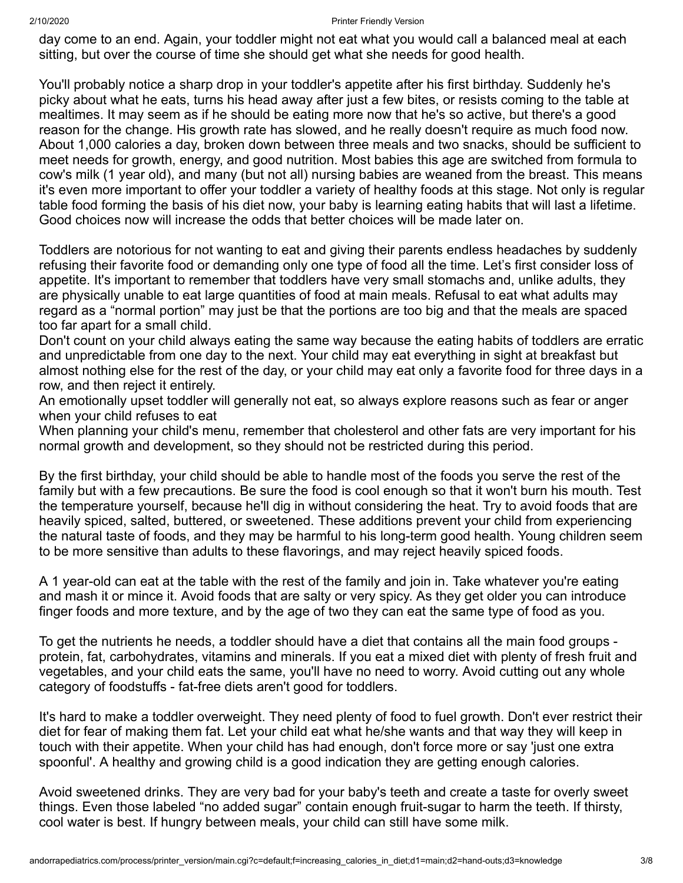day come to an end. Again, your toddler might not eat what you would call a balanced meal at each sitting, but over the course of time she should get what she needs for good health.

You'll probably notice a sharp drop in your toddler's appetite after his first birthday. Suddenly he's picky about what he eats, turns his head away after just a few bites, or resists coming to the table at mealtimes. It may seem as if he should be eating more now that he's so active, but there's a good reason for the change. His growth rate has slowed, and he really doesn't require as much food now. About 1,000 calories a day, broken down between three meals and two snacks, should be sufficient to meet needs for growth, energy, and good nutrition. Most babies this age are switched from formula to cow's milk (1 year old), and many (but not all) nursing babies are weaned from the breast. This means it's even more important to offer your toddler a variety of healthy foods at this stage. Not only is regular table food forming the basis of his diet now, your baby is learning eating habits that will last a lifetime. Good choices now will increase the odds that better choices will be made later on.

Toddlers are notorious for not wanting to eat and giving their parents endless headaches by suddenly refusing their favorite food or demanding only one type of food all the time. Let's first consider loss of appetite. It's important to remember that toddlers have very small stomachs and, unlike adults, they are physically unable to eat large quantities of food at main meals. Refusal to eat what adults may regard as a "normal portion" may just be that the portions are too big and that the meals are spaced too far apart for a small child.

Don't count on your child always eating the same way because the eating habits of toddlers are erratic and unpredictable from one day to the next. Your child may eat everything in sight at breakfast but almost nothing else for the rest of the day, or your child may eat only a favorite food for three days in a row, and then reject it entirely.

An emotionally upset toddler will generally not eat, so always explore reasons such as fear or anger when your child refuses to eat

When planning your child's menu, remember that cholesterol and other fats are very important for his normal growth and development, so they should not be restricted during this period.

By the first birthday, your child should be able to handle most of the foods you serve the rest of the family but with a few precautions. Be sure the food is cool enough so that it won't burn his mouth. Test the temperature yourself, because he'll dig in without considering the heat. Try to avoid foods that are heavily spiced, salted, buttered, or sweetened. These additions prevent your child from experiencing the natural taste of foods, and they may be harmful to his long-term good health. Young children seem to be more sensitive than adults to these flavorings, and may reject heavily spiced foods.

A 1 year-old can eat at the table with the rest of the family and join in. Take whatever you're eating and mash it or mince it. Avoid foods that are salty or very spicy. As they get older you can introduce finger foods and more texture, and by the age of two they can eat the same type of food as you.

To get the nutrients he needs, a toddler should have a diet that contains all the main food groups protein, fat, carbohydrates, vitamins and minerals. If you eat a mixed diet with plenty of fresh fruit and vegetables, and your child eats the same, you'll have no need to worry. Avoid cutting out any whole category of foodstuffs - fat-free diets aren't good for toddlers.

It's hard to make a toddler overweight. They need plenty of food to fuel growth. Don't ever restrict their diet for fear of making them fat. Let your child eat what he/she wants and that way they will keep in touch with their appetite. When your child has had enough, don't force more or say 'just one extra spoonful'. A healthy and growing child is a good indication they are getting enough calories.

Avoid sweetened drinks. They are very bad for your baby's teeth and create a taste for overly sweet things. Even those labeled "no added sugar" contain enough fruit-sugar to harm the teeth. If thirsty, cool water is best. If hungry between meals, your child can still have some milk.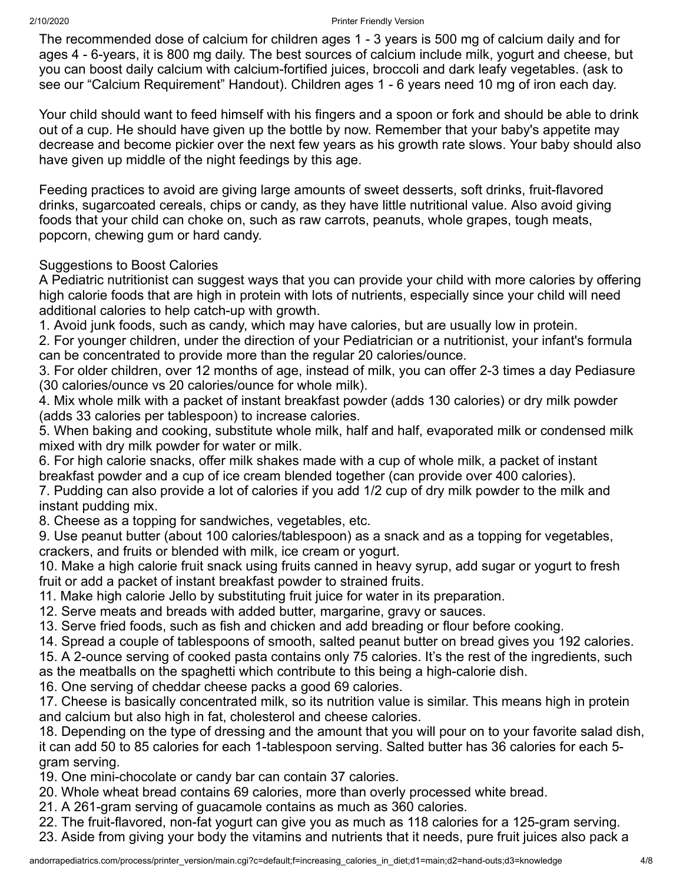#### 2/10/2020 Printer Friendly Version

The recommended dose of calcium for children ages 1 - 3 years is 500 mg of calcium daily and for ages 4 - 6-years, it is 800 mg daily. The best sources of calcium include milk, yogurt and cheese, but you can boost daily calcium with calcium-fortified juices, broccoli and dark leafy vegetables. (ask to see our "Calcium Requirement" Handout). Children ages 1 - 6 years need 10 mg of iron each day.

Your child should want to feed himself with his fingers and a spoon or fork and should be able to drink out of a cup. He should have given up the bottle by now. Remember that your baby's appetite may decrease and become pickier over the next few years as his growth rate slows. Your baby should also have given up middle of the night feedings by this age.

Feeding practices to avoid are giving large amounts of sweet desserts, soft drinks, fruit-flavored drinks, sugarcoated cereals, chips or candy, as they have little nutritional value. Also avoid giving foods that your child can choke on, such as raw carrots, peanuts, whole grapes, tough meats, popcorn, chewing gum or hard candy.

### Suggestions to Boost Calories

A Pediatric nutritionist can suggest ways that you can provide your child with more calories by offering high calorie foods that are high in protein with lots of nutrients, especially since your child will need additional calories to help catch-up with growth.

1. Avoid junk foods, such as candy, which may have calories, but are usually low in protein.

2. For younger children, under the direction of your Pediatrician or a nutritionist, your infant's formula can be concentrated to provide more than the regular 20 calories/ounce.

3. For older children, over 12 months of age, instead of milk, you can offer 2-3 times a day Pediasure (30 calories/ounce vs 20 calories/ounce for whole milk).

4. Mix whole milk with a packet of instant breakfast powder (adds 130 calories) or dry milk powder (adds 33 calories per tablespoon) to increase calories.

5. When baking and cooking, substitute whole milk, half and half, evaporated milk or condensed milk mixed with dry milk powder for water or milk.

6. For high calorie snacks, offer milk shakes made with a cup of whole milk, a packet of instant breakfast powder and a cup of ice cream blended together (can provide over 400 calories).

7. Pudding can also provide a lot of calories if you add 1/2 cup of dry milk powder to the milk and instant pudding mix.

8. Cheese as a topping for sandwiches, vegetables, etc.

9. Use peanut butter (about 100 calories/tablespoon) as a snack and as a topping for vegetables, crackers, and fruits or blended with milk, ice cream or yogurt.

10. Make a high calorie fruit snack using fruits canned in heavy syrup, add sugar or yogurt to fresh fruit or add a packet of instant breakfast powder to strained fruits.

11. Make high calorie Jello by substituting fruit juice for water in its preparation.

12. Serve meats and breads with added butter, margarine, gravy or sauces.

13. Serve fried foods, such as fish and chicken and add breading or flour before cooking.

14. Spread a couple of tablespoons of smooth, salted peanut butter on bread gives you 192 calories.

15. A 2-ounce serving of cooked pasta contains only 75 calories. It's the rest of the ingredients, such as the meatballs on the spaghetti which contribute to this being a high-calorie dish.

16. One serving of cheddar cheese packs a good 69 calories.

17. Cheese is basically concentrated milk, so its nutrition value is similar. This means high in protein and calcium but also high in fat, cholesterol and cheese calories.

18. Depending on the type of dressing and the amount that you will pour on to your favorite salad dish, it can add 50 to 85 calories for each 1-tablespoon serving. Salted butter has 36 calories for each 5 gram serving.

19. One mini-chocolate or candy bar can contain 37 calories.

20. Whole wheat bread contains 69 calories, more than overly processed white bread.

21. A 261-gram serving of guacamole contains as much as 360 calories.

22. The fruit-flavored, non-fat yogurt can give you as much as 118 calories for a 125-gram serving.

23. Aside from giving your body the vitamins and nutrients that it needs, pure fruit juices also pack a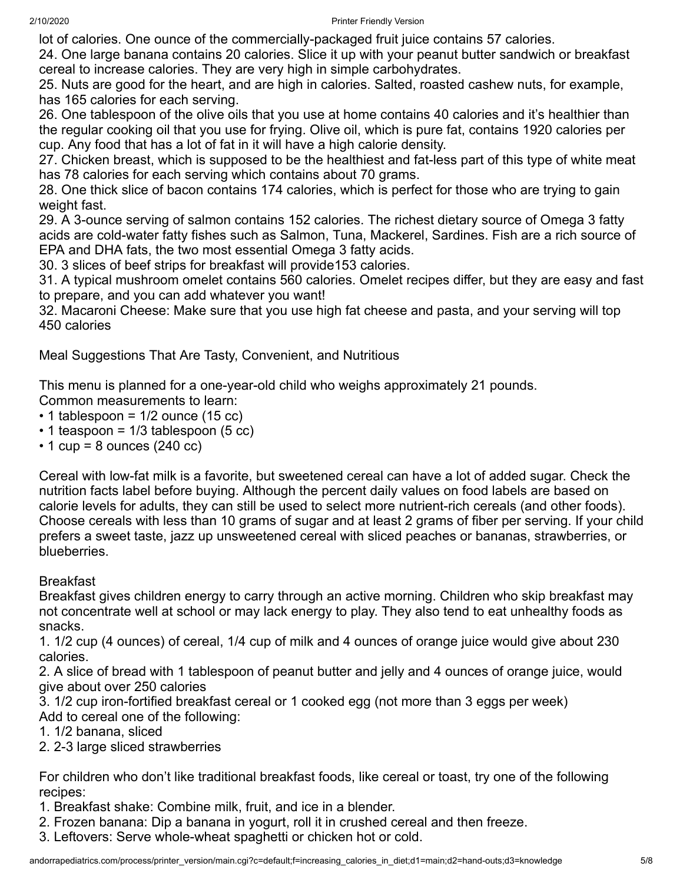lot of calories. One ounce of the commercially-packaged fruit juice contains 57 calories.

24. One large banana contains 20 calories. Slice it up with your peanut butter sandwich or breakfast cereal to increase calories. They are very high in simple carbohydrates.

25. Nuts are good for the heart, and are high in calories. Salted, roasted cashew nuts, for example, has 165 calories for each serving.

26. One tablespoon of the olive oils that you use at home contains 40 calories and it's healthier than the regular cooking oil that you use for frying. Olive oil, which is pure fat, contains 1920 calories per cup. Any food that has a lot of fat in it will have a high calorie density.

27. Chicken breast, which is supposed to be the healthiest and fat-less part of this type of white meat has 78 calories for each serving which contains about 70 grams.

28. One thick slice of bacon contains 174 calories, which is perfect for those who are trying to gain weight fast.

29. A 3-ounce serving of salmon contains 152 calories. The richest dietary source of Omega 3 fatty acids are cold-water fatty fishes such as Salmon, Tuna, Mackerel, Sardines. Fish are a rich source of EPA and DHA fats, the two most essential Omega 3 fatty acids.

30. 3 slices of beef strips for breakfast will provide153 calories.

31. A typical mushroom omelet contains 560 calories. Omelet recipes differ, but they are easy and fast to prepare, and you can add whatever you want!

32. Macaroni Cheese: Make sure that you use high fat cheese and pasta, and your serving will top 450 calories

Meal Suggestions That Are Tasty, Convenient, and Nutritious

This menu is planned for a one-year-old child who weighs approximately 21 pounds.

Common measurements to learn:

- $\cdot$  1 tablespoon = 1/2 ounce (15 cc)
- $\cdot$  1 teaspoon = 1/3 tablespoon (5 cc)
- $\cdot$  1 cup = 8 ounces (240 cc)

Cereal with low-fat milk is a favorite, but sweetened cereal can have a lot of added sugar. Check the nutrition facts label before buying. Although the percent daily values on food labels are based on calorie levels for adults, they can still be used to select more nutrient-rich cereals (and other foods). Choose cereals with less than 10 grams of sugar and at least 2 grams of fiber per serving. If your child prefers a sweet taste, jazz up unsweetened cereal with sliced peaches or bananas, strawberries, or blueberries.

#### Breakfast

Breakfast gives children energy to carry through an active morning. Children who skip breakfast may not concentrate well at school or may lack energy to play. They also tend to eat unhealthy foods as snacks.

1. 1/2 cup (4 ounces) of cereal, 1/4 cup of milk and 4 ounces of orange juice would give about 230 calories.

2. A slice of bread with 1 tablespoon of peanut butter and jelly and 4 ounces of orange juice, would give about over 250 calories

3. 1/2 cup iron-fortified breakfast cereal or 1 cooked egg (not more than 3 eggs per week) Add to cereal one of the following:

- 1. 1/2 banana, sliced
- 2. 2-3 large sliced strawberries

For children who don't like traditional breakfast foods, like cereal or toast, try one of the following recipes:

1. Breakfast shake: Combine milk, fruit, and ice in a blender.

2. Frozen banana: Dip a banana in yogurt, roll it in crushed cereal and then freeze.

3. Leftovers: Serve whole-wheat spaghetti or chicken hot or cold.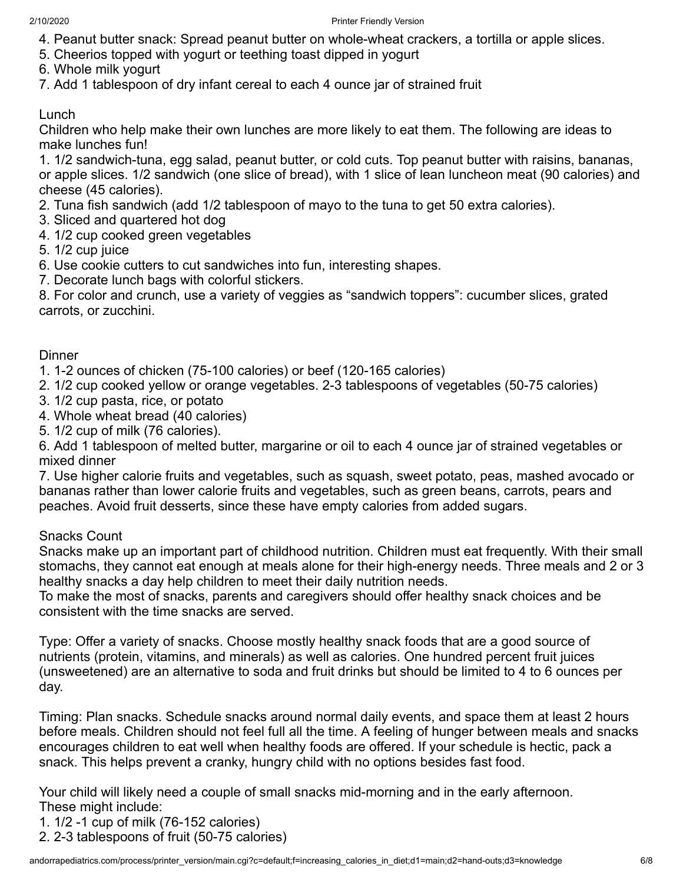- 4. Peanut butter snack: Spread peanut butter on whole-wheat crackers, a tortilla or apple slices.
- 5. Cheerios topped with yogurt or teething toast dipped in yogurt
- 6. Whole milk yogurt
- 7. Add 1 tablespoon of dry infant cereal to each 4 ounce jar of strained fruit

#### Lunch

Children who help make their own lunches are more likely to eat them. The following are ideas to make lunches fun!

1. 1/2 sandwich-tuna, egg salad, peanut butter, or cold cuts. Top peanut butter with raisins, bananas, or apple slices. 1/2 sandwich (one slice of bread), with 1 slice of lean luncheon meat (90 calories) and cheese (45 calories).

- 2. Tuna fish sandwich (add 1/2 tablespoon of mayo to the tuna to get 50 extra calories).
- 3. Sliced and quartered hot dog
- 4. 1/2 cup cooked green vegetables
- 5. 1/2 cup juice
- 6. Use cookie cutters to cut sandwiches into fun, interesting shapes.
- 7. Decorate lunch bags with colorful stickers.

8. For color and crunch, use a variety of veggies as "sandwich toppers": cucumber slices, grated carrots, or zucchini.

#### **Dinner**

1. 1-2 ounces of chicken (75-100 calories) or beef (120-165 calories)

- 2. 1/2 cup cooked yellow or orange vegetables. 2-3 tablespoons of vegetables (50-75 calories)
- 3. 1/2 cup pasta, rice, or potato
- 4. Whole wheat bread (40 calories)
- 5. 1/2 cup of milk (76 calories).

6. Add 1 tablespoon of melted butter, margarine or oil to each 4 ounce jar of strained vegetables or mixed dinner

7. Use higher calorie fruits and vegetables, such as squash, sweet potato, peas, mashed avocado or bananas rather than lower calorie fruits and vegetables, such as green beans, carrots, pears and peaches. Avoid fruit desserts, since these have empty calories from added sugars.

#### Snacks Count

Snacks make up an important part of childhood nutrition. Children must eat frequently. With their small stomachs, they cannot eat enough at meals alone for their high-energy needs. Three meals and 2 or 3 healthy snacks a day help children to meet their daily nutrition needs.

To make the most of snacks, parents and caregivers should offer healthy snack choices and be consistent with the time snacks are served.

Type: Offer a variety of snacks. Choose mostly healthy snack foods that are a good source of nutrients (protein, vitamins, and minerals) as well as calories. One hundred percent fruit juices (unsweetened) are an alternative to soda and fruit drinks but should be limited to 4 to 6 ounces per day.

Timing: Plan snacks. Schedule snacks around normal daily events, and space them at least 2 hours before meals. Children should not feel full all the time. A feeling of hunger between meals and snacks encourages children to eat well when healthy foods are offered. If your schedule is hectic, pack a snack. This helps prevent a cranky, hungry child with no options besides fast food.

Your child will likely need a couple of small snacks mid-morning and in the early afternoon. These might include:

- 1. 1/2 -1 cup of milk (76-152 calories)
- 2. 2-3 tablespoons of fruit (50-75 calories)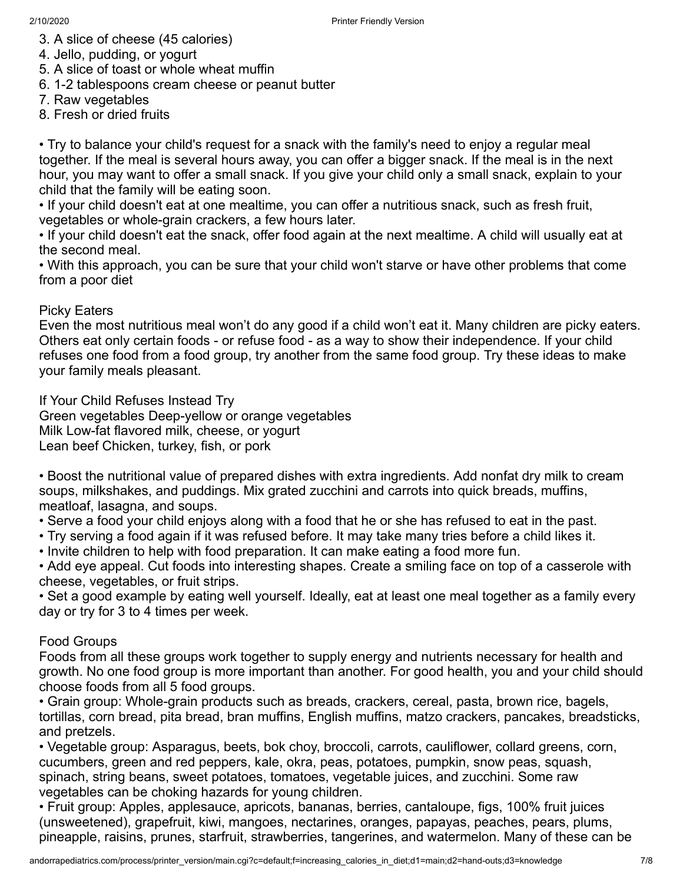- 3. A slice of cheese (45 calories)
- 4. Jello, pudding, or yogurt
- 5. A slice of toast or whole wheat muffin
- 6. 1-2 tablespoons cream cheese or peanut butter
- 7. Raw vegetables
- 8. Fresh or dried fruits

• Try to balance your child's request for a snack with the family's need to enjoy a regular meal together. If the meal is several hours away, you can offer a bigger snack. If the meal is in the next hour, you may want to offer a small snack. If you give your child only a small snack, explain to your child that the family will be eating soon.

• If your child doesn't eat at one mealtime, you can offer a nutritious snack, such as fresh fruit, vegetables or whole-grain crackers, a few hours later.

• If your child doesn't eat the snack, offer food again at the next mealtime. A child will usually eat at the second meal.

• With this approach, you can be sure that your child won't starve or have other problems that come from a poor diet

#### Picky Eaters

Even the most nutritious meal won't do any good if a child won't eat it. Many children are picky eaters. Others eat only certain foods - or refuse food - as a way to show their independence. If your child refuses one food from a food group, try another from the same food group. Try these ideas to make your family meals pleasant.

If Your Child Refuses Instead Try Green vegetables Deep-yellow or orange vegetables Milk Low-fat flavored milk, cheese, or yogurt Lean beef Chicken, turkey, fish, or pork

• Boost the nutritional value of prepared dishes with extra ingredients. Add nonfat dry milk to cream soups, milkshakes, and puddings. Mix grated zucchini and carrots into quick breads, muffins, meatloaf, lasagna, and soups.

• Serve a food your child enjoys along with a food that he or she has refused to eat in the past.

- Try serving a food again if it was refused before. It may take many tries before a child likes it.
- Invite children to help with food preparation. It can make eating a food more fun.

• Add eye appeal. Cut foods into interesting shapes. Create a smiling face on top of a casserole with cheese, vegetables, or fruit strips.

• Set a good example by eating well yourself. Ideally, eat at least one meal together as a family every day or try for 3 to 4 times per week.

#### Food Groups

Foods from all these groups work together to supply energy and nutrients necessary for health and growth. No one food group is more important than another. For good health, you and your child should choose foods from all 5 food groups.

• Grain group: Whole-grain products such as breads, crackers, cereal, pasta, brown rice, bagels, tortillas, corn bread, pita bread, bran muffins, English muffins, matzo crackers, pancakes, breadsticks, and pretzels.

• Vegetable group: Asparagus, beets, bok choy, broccoli, carrots, cauliflower, collard greens, corn, cucumbers, green and red peppers, kale, okra, peas, potatoes, pumpkin, snow peas, squash, spinach, string beans, sweet potatoes, tomatoes, vegetable juices, and zucchini. Some raw vegetables can be choking hazards for young children.

• Fruit group: Apples, applesauce, apricots, bananas, berries, cantaloupe, figs, 100% fruit juices (unsweetened), grapefruit, kiwi, mangoes, nectarines, oranges, papayas, peaches, pears, plums, pineapple, raisins, prunes, starfruit, strawberries, tangerines, and watermelon. Many of these can be